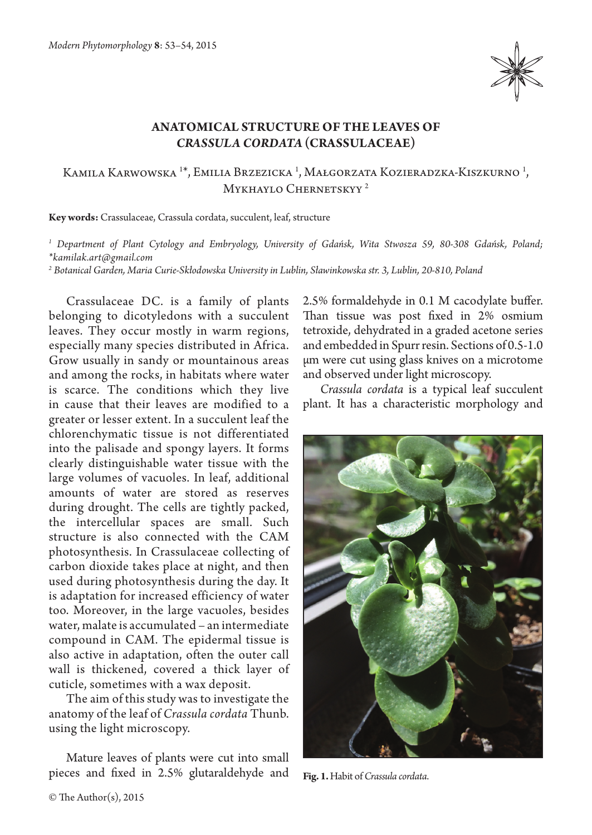

## **Anatomical structure of the leaves of**  *Crassula cordata* **(Crassulaceae)**

## Kamila Karwowska <sup>1\*</sup>, Emilia Brzezicka <sup>1</sup>, Małgorzata Kozieradzka-Kiszkurno <sup>1</sup>, Mykhaylo Chernetskyy 2

**Key words:** Crassulaceae, Crassula cordata, succulent, leaf, structure

*1 Department of Plant Cytology and Embryology, University of Gdańsk, Wita Stwosza 59, 80-308 Gdańsk, Poland; \*kamilak.art@gmail.com*

*2 Botanical Garden, Maria Curie-Skłodowska University in Lublin, Sławinkowska str. 3, Lublin, 20-810, Poland*

Crassulaceae DC. is a family of plants belonging to dicotyledons with a succulent leaves. They occur mostly in warm regions, especially many species distributed in Africa. Grow usually in sandy or mountainous areas and among the rocks, in habitats where water is scarce. The conditions which they live in cause that their leaves are modified to a greater or lesser extent. In a succulent leaf the chlorenchymatic tissue is not differentiated into the palisade and spongy layers. It forms clearly distinguishable water tissue with the large volumes of vacuoles. In leaf, additional amounts of water are stored as reserves during drought. The cells are tightly packed, the intercellular spaces are small. Such structure is also connected with the CAM photosynthesis. In Crassulaceae collecting of carbon dioxide takes place at night, and then used during photosynthesis during the day. It is adaptation for increased efficiency of water too. Moreover, in the large vacuoles, besides water, malate is accumulated – an intermediate compound in CAM. The epidermal tissue is also active in adaptation, often the outer call wall is thickened, covered a thick layer of cuticle, sometimes with a wax deposit.

The aim of this study was to investigate the anatomy of the leaf of *Crassula cordata* Thunb. using the light microscopy.

Mature leaves of plants were cut into small pieces and fixed in 2.5% glutaraldehyde and 2.5% formaldehyde in 0.1 M cacodylate buffer. Than tissue was post fixed in 2% osmium tetroxide, dehydrated in a graded acetone series and embedded in Spurr resin. Sections of 0.5-1.0 μm were cut using glass knives on a microtome and observed under light microscopy.

*Crassula cordata* is a typical leaf succulent plant. It has a characteristic morphology and



**Fig. 1.** Habit of *Crassula cordata*.